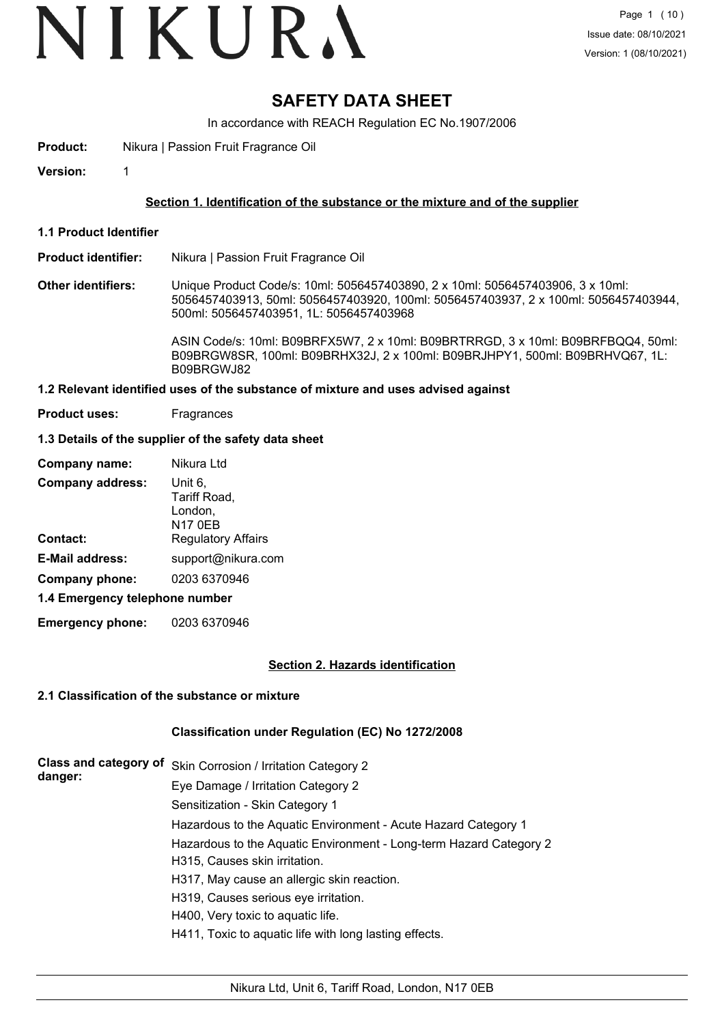# VIKURA

### **SAFETY DATA SHEET**

In accordance with REACH Regulation EC No.1907/2006

- **Product:** Nikura | Passion Fruit Fragrance Oil
- **Version:** 1

#### **Section 1. Identification of the substance or the mixture and of the supplier**

**1.1 Product Identifier**

#### **Product identifier:** Nikura | Passion Fruit Fragrance Oil

**Other identifiers:** Unique Product Code/s: 10ml: 5056457403890, 2 x 10ml: 5056457403906, 3 x 10ml: 5056457403913, 50ml: 5056457403920, 100ml: 5056457403937, 2 x 100ml: 5056457403944, 500ml: 5056457403951, 1L: 5056457403968

> ASIN Code/s: 10ml: B09BRFX5W7, 2 x 10ml: B09BRTRRGD, 3 x 10ml: B09BRFBQQ4, 50ml: B09BRGW8SR, 100ml: B09BRHX32J, 2 x 100ml: B09BRJHPY1, 500ml: B09BRHVQ67, 1L: B09BRGWJ82

#### **1.2 Relevant identified uses of the substance of mixture and uses advised against**

**Product uses:** Fragrances

#### **1.3 Details of the supplier of the safety data sheet**

| Company name:                  | Nikura Ltd                         |
|--------------------------------|------------------------------------|
| <b>Company address:</b>        | Unit 6,<br>Tariff Road,<br>London, |
|                                | <b>N17 0EB</b>                     |
| Contact:                       | <b>Regulatory Affairs</b>          |
| <b>E-Mail address:</b>         | support@nikura.com                 |
| Company phone:                 | 0203 6370946                       |
| 1.4 Emergency telephone number |                                    |

**Emergency phone:** 0203 6370946

#### **Section 2. Hazards identification**

#### **2.1 Classification of the substance or mixture**

#### **Classification under Regulation (EC) No 1272/2008**

| Class and category of<br>danger: | Skin Corrosion / Irritation Category 2                             |
|----------------------------------|--------------------------------------------------------------------|
|                                  | Eye Damage / Irritation Category 2                                 |
|                                  | Sensitization - Skin Category 1                                    |
|                                  | Hazardous to the Aquatic Environment - Acute Hazard Category 1     |
|                                  | Hazardous to the Aquatic Environment - Long-term Hazard Category 2 |
|                                  | H315, Causes skin irritation.                                      |
|                                  | H317, May cause an allergic skin reaction.                         |
|                                  | H319, Causes serious eye irritation.                               |
|                                  | H400, Very toxic to aquatic life.                                  |
|                                  | H411, Toxic to aquatic life with long lasting effects.             |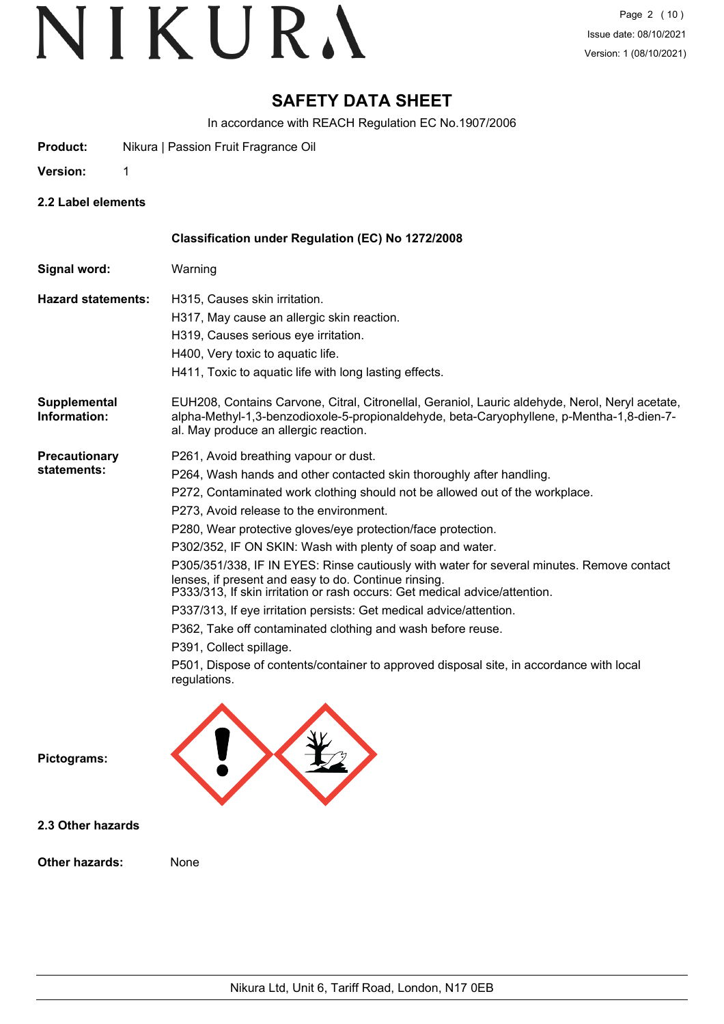### **SAFETY DATA SHEET**

In accordance with REACH Regulation EC No.1907/2006

- **Product:** Nikura | Passion Fruit Fragrance Oil
- **Version:** 1
- **2.2 Label elements**

|                                     | Classification under Regulation (EC) No 1272/2008                                                                                                                                                                                                                                                                                                                                                                                                                                                                                                                                                                                                                                                                                                                                                                                                                                    |
|-------------------------------------|--------------------------------------------------------------------------------------------------------------------------------------------------------------------------------------------------------------------------------------------------------------------------------------------------------------------------------------------------------------------------------------------------------------------------------------------------------------------------------------------------------------------------------------------------------------------------------------------------------------------------------------------------------------------------------------------------------------------------------------------------------------------------------------------------------------------------------------------------------------------------------------|
| Signal word:                        | Warning                                                                                                                                                                                                                                                                                                                                                                                                                                                                                                                                                                                                                                                                                                                                                                                                                                                                              |
| <b>Hazard statements:</b>           | H315, Causes skin irritation.<br>H317, May cause an allergic skin reaction.<br>H319, Causes serious eye irritation.<br>H400, Very toxic to aquatic life.<br>H411, Toxic to aquatic life with long lasting effects.                                                                                                                                                                                                                                                                                                                                                                                                                                                                                                                                                                                                                                                                   |
| Supplemental<br>Information:        | EUH208, Contains Carvone, Citral, Citronellal, Geraniol, Lauric aldehyde, Nerol, Neryl acetate,<br>alpha-Methyl-1,3-benzodioxole-5-propionaldehyde, beta-Caryophyllene, p-Mentha-1,8-dien-7-<br>al. May produce an allergic reaction.                                                                                                                                                                                                                                                                                                                                                                                                                                                                                                                                                                                                                                                |
| <b>Precautionary</b><br>statements: | P261, Avoid breathing vapour or dust.<br>P264, Wash hands and other contacted skin thoroughly after handling.<br>P272, Contaminated work clothing should not be allowed out of the workplace.<br>P273, Avoid release to the environment.<br>P280, Wear protective gloves/eye protection/face protection.<br>P302/352, IF ON SKIN: Wash with plenty of soap and water.<br>P305/351/338, IF IN EYES: Rinse cautiously with water for several minutes. Remove contact<br>lenses, if present and easy to do. Continue rinsing.<br>P333/313, If skin irritation or rash occurs: Get medical advice/attention.<br>P337/313, If eye irritation persists: Get medical advice/attention.<br>P362, Take off contaminated clothing and wash before reuse.<br>P391, Collect spillage.<br>P501, Dispose of contents/container to approved disposal site, in accordance with local<br>regulations. |
| Pictograms:                         |                                                                                                                                                                                                                                                                                                                                                                                                                                                                                                                                                                                                                                                                                                                                                                                                                                                                                      |
| 2.3 Other hazards                   |                                                                                                                                                                                                                                                                                                                                                                                                                                                                                                                                                                                                                                                                                                                                                                                                                                                                                      |
| <b>Other hazards:</b>               | None                                                                                                                                                                                                                                                                                                                                                                                                                                                                                                                                                                                                                                                                                                                                                                                                                                                                                 |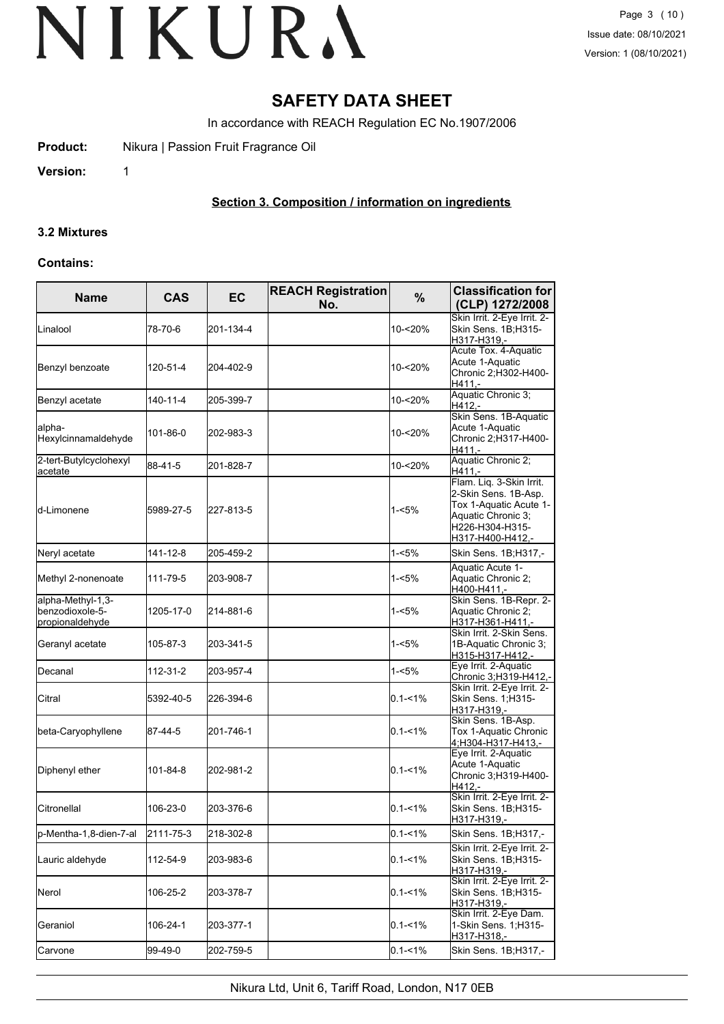### **SAFETY DATA SHEET**

In accordance with REACH Regulation EC No.1907/2006

**Product:** Nikura | Passion Fruit Fragrance Oil

**Version:** 1

#### **Section 3. Composition / information on ingredients**

#### **3.2 Mixtures**

#### **Contains:**

| <b>Name</b>                                             | <b>CAS</b> | <b>EC</b> | <b>REACH Registration</b><br>No. | %           | <b>Classification for</b><br>(CLP) 1272/2008                                                                                            |  |
|---------------------------------------------------------|------------|-----------|----------------------------------|-------------|-----------------------------------------------------------------------------------------------------------------------------------------|--|
| Linalool                                                | 78-70-6    | 201-134-4 |                                  | 10-<20%     | Skin Irrit. 2-Eye Irrit. 2-<br>Skin Sens. 1B:H315-<br>H317-H319,-                                                                       |  |
| Benzyl benzoate                                         | 120-51-4   | 204-402-9 |                                  | 10-<20%     | Acute Tox. 4-Aquatic<br>Acute 1-Aquatic<br>Chronic 2; H302-H400-<br>H411.-                                                              |  |
| Benzyl acetate                                          | 140-11-4   | 205-399-7 |                                  | 10-<20%     | Aquatic Chronic 3;<br>H412,-                                                                                                            |  |
| alpha-<br>Hexylcinnamaldehyde                           | 101-86-0   | 202-983-3 |                                  | 10-<20%     | Skin Sens. 1B-Aquatic<br>Acute 1-Aquatic<br>Chronic 2;H317-H400-<br>$H411. -$                                                           |  |
| 2-tert-Butylcyclohexyl<br>acetate                       | 88-41-5    | 201-828-7 |                                  | 10-<20%     | Aquatic Chronic 2;<br>H411.-                                                                                                            |  |
| d-Limonene                                              | 5989-27-5  | 227-813-5 |                                  | 1-<5%       | Flam. Liq. 3-Skin Irrit.<br>2-Skin Sens. 1B-Asp.<br>Tox 1-Aquatic Acute 1-<br>Aquatic Chronic 3;<br>H226-H304-H315-<br>H317-H400-H412,- |  |
| Neryl acetate                                           | 141-12-8   | 205-459-2 |                                  | 1-<5%       | Skin Sens. 1B;H317,-                                                                                                                    |  |
| Methyl 2-nonenoate                                      | 111-79-5   | 203-908-7 |                                  | 1-<5%       | Aquatic Acute 1-<br>Aquatic Chronic 2;<br>H400-H411.-                                                                                   |  |
| alpha-Methyl-1,3-<br>benzodioxole-5-<br>propionaldehyde | 1205-17-0  | 214-881-6 |                                  | 1-<5%       | Skin Sens. 1B-Repr. 2-<br>Aquatic Chronic 2;<br>H317-H361-H411.-                                                                        |  |
| Geranyl acetate                                         | 105-87-3   | 203-341-5 |                                  | 1-<5%       | Skin Irrit, 2-Skin Sens.<br>1B-Aquatic Chronic 3;<br>H315-H317-H412,-                                                                   |  |
| Decanal                                                 | 112-31-2   | 203-957-4 |                                  | 1-<5%       | Eye Irrit. 2-Aquatic<br><u>Chronic 3;H319-H412,-</u>                                                                                    |  |
| Citral                                                  | 5392-40-5  | 226-394-6 |                                  | $0.1 - 1\%$ | Skin Irrit. 2-Eye Irrit. 2-<br>Skin Sens. 1;H315-<br>H317-H319.-                                                                        |  |
| beta-Caryophyllene                                      | 87-44-5    | 201-746-1 |                                  | $0.1 - 1\%$ | Skin Sens. 1B-Asp.<br>Tox 1-Aquatic Chronic<br>4;H304-H317-H413,-                                                                       |  |
| Diphenyl ether                                          | 101-84-8   | 202-981-2 |                                  | $0.1 - 1\%$ | Eye Irrit. 2-Aquatic<br>Acute 1-Aquatic<br>Chronic 3;H319-H400-<br>H412.-                                                               |  |
| Citronellal                                             | 106-23-0   | 203-376-6 |                                  | $0.1 - 1\%$ | Skin Irrit. 2-Eye Irrit. 2-<br>Skin Sens. 1B;H315-<br>H317-H319,-                                                                       |  |
| p-Mentha-1,8-dien-7-al                                  | 2111-75-3  | 218-302-8 |                                  | $0.1 - 1\%$ | Skin Sens. 1B;H317,-                                                                                                                    |  |
| Lauric aldehyde                                         | 112-54-9   | 203-983-6 |                                  | $0.1 - 1\%$ | Skin Irrit. 2-Eye Irrit. 2-<br>Skin Sens. 1B;H315-<br>H317-H319.-                                                                       |  |
| Nerol                                                   | 106-25-2   | 203-378-7 |                                  | $0.1 - 1\%$ | Skin Irrit. 2-Eye Irrit. 2-<br>Skin Sens. 1B;H315-<br>H317-H319,-                                                                       |  |
| Geraniol                                                | 106-24-1   | 203-377-1 |                                  | $0.1 - 1\%$ | Skin Irrit. 2-Eye Dam.<br>1-Skin Sens. 1;H315-<br>H317-H318,-                                                                           |  |
| Carvone                                                 | 99-49-0    | 202-759-5 |                                  | $0.1 - 1\%$ | Skin Sens. 1B; H317,-                                                                                                                   |  |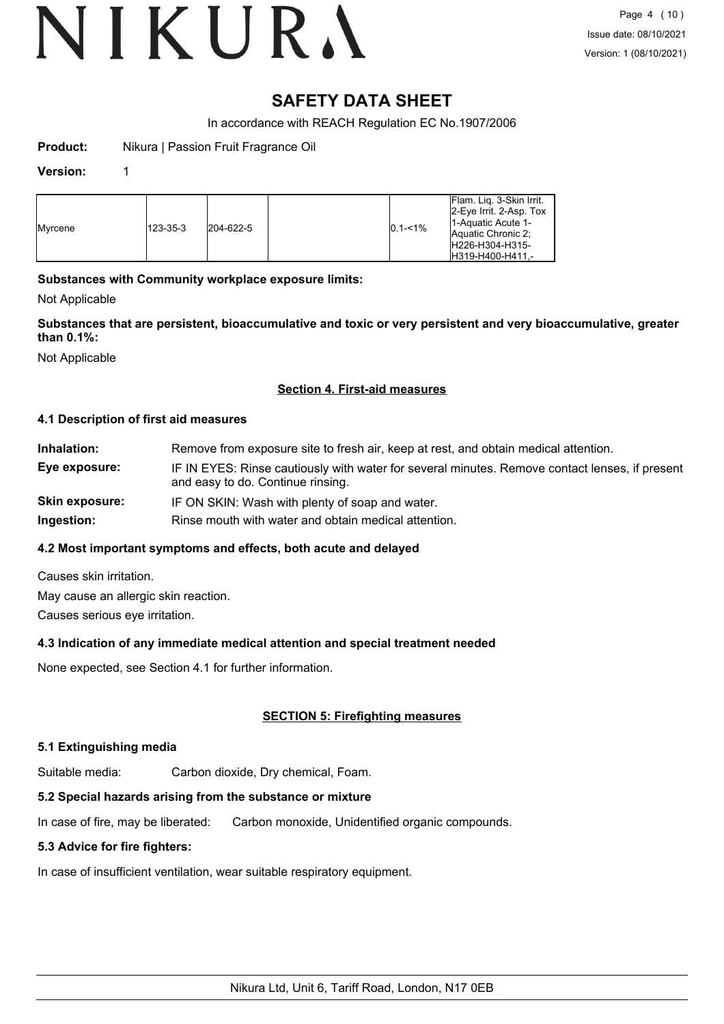### **SAFETY DATA SHEET**

In accordance with REACH Regulation EC No.1907/2006

**Product:** Nikura | Passion Fruit Fragrance Oil

#### **Version:** 1

| <b>I</b> Mvrcene | 123-35-3 | 204-622-5 |  | $10.1 - 1\%$ | <b>Flam. Lig. 3-Skin Irrit.</b><br>$ 2$ -Eye Irrit. 2-Asp. Tox<br>11-Aquatic Acute 1-<br>Aquatic Chronic 2:<br>IH226-H304-H315-<br>H319-H400-H411.- |
|------------------|----------|-----------|--|--------------|-----------------------------------------------------------------------------------------------------------------------------------------------------|
|------------------|----------|-----------|--|--------------|-----------------------------------------------------------------------------------------------------------------------------------------------------|

#### **Substances with Community workplace exposure limits:**

Not Applicable

**Substances that are persistent, bioaccumulative and toxic or very persistent and very bioaccumulative, greater than 0.1%:**

Not Applicable

#### **Section 4. First-aid measures**

#### **4.1 Description of first aid measures**

| Inhalation:           | Remove from exposure site to fresh air, keep at rest, and obtain medical attention.                                                 |
|-----------------------|-------------------------------------------------------------------------------------------------------------------------------------|
| Eye exposure:         | IF IN EYES: Rinse cautiously with water for several minutes. Remove contact lenses, if present<br>and easy to do. Continue rinsing. |
| <b>Skin exposure:</b> | IF ON SKIN: Wash with plenty of soap and water.                                                                                     |
| Ingestion:            | Rinse mouth with water and obtain medical attention.                                                                                |

#### **4.2 Most important symptoms and effects, both acute and delayed**

Causes skin irritation. May cause an allergic skin reaction.

Causes serious eye irritation.

#### **4.3 Indication of any immediate medical attention and special treatment needed**

None expected, see Section 4.1 for further information.

#### **SECTION 5: Firefighting measures**

#### **5.1 Extinguishing media**

Suitable media: Carbon dioxide, Dry chemical, Foam.

#### **5.2 Special hazards arising from the substance or mixture**

In case of fire, may be liberated: Carbon monoxide, Unidentified organic compounds.

#### **5.3 Advice for fire fighters:**

In case of insufficient ventilation, wear suitable respiratory equipment.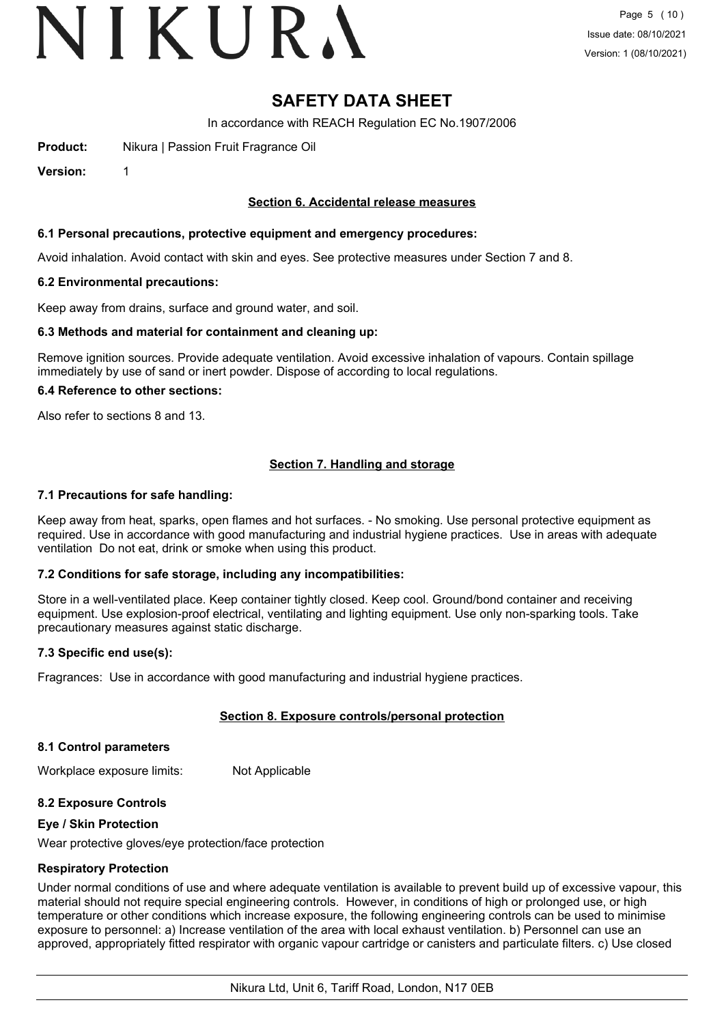# VIKURA

### **SAFETY DATA SHEET**

In accordance with REACH Regulation EC No.1907/2006

**Product:** Nikura | Passion Fruit Fragrance Oil

**Version:** 1

#### **Section 6. Accidental release measures**

#### **6.1 Personal precautions, protective equipment and emergency procedures:**

Avoid inhalation. Avoid contact with skin and eyes. See protective measures under Section 7 and 8.

#### **6.2 Environmental precautions:**

Keep away from drains, surface and ground water, and soil.

#### **6.3 Methods and material for containment and cleaning up:**

Remove ignition sources. Provide adequate ventilation. Avoid excessive inhalation of vapours. Contain spillage immediately by use of sand or inert powder. Dispose of according to local regulations.

#### **6.4 Reference to other sections:**

Also refer to sections 8 and 13.

#### **Section 7. Handling and storage**

#### **7.1 Precautions for safe handling:**

Keep away from heat, sparks, open flames and hot surfaces. - No smoking. Use personal protective equipment as required. Use in accordance with good manufacturing and industrial hygiene practices. Use in areas with adequate ventilation Do not eat, drink or smoke when using this product.

#### **7.2 Conditions for safe storage, including any incompatibilities:**

Store in a well-ventilated place. Keep container tightly closed. Keep cool. Ground/bond container and receiving equipment. Use explosion-proof electrical, ventilating and lighting equipment. Use only non-sparking tools. Take precautionary measures against static discharge.

#### **7.3 Specific end use(s):**

Fragrances: Use in accordance with good manufacturing and industrial hygiene practices.

#### **Section 8. Exposure controls/personal protection**

#### **8.1 Control parameters**

Workplace exposure limits: Not Applicable

#### **8.2 Exposure Controls**

#### **Eye / Skin Protection**

Wear protective gloves/eye protection/face protection

#### **Respiratory Protection**

Under normal conditions of use and where adequate ventilation is available to prevent build up of excessive vapour, this material should not require special engineering controls. However, in conditions of high or prolonged use, or high temperature or other conditions which increase exposure, the following engineering controls can be used to minimise exposure to personnel: a) Increase ventilation of the area with local exhaust ventilation. b) Personnel can use an approved, appropriately fitted respirator with organic vapour cartridge or canisters and particulate filters. c) Use closed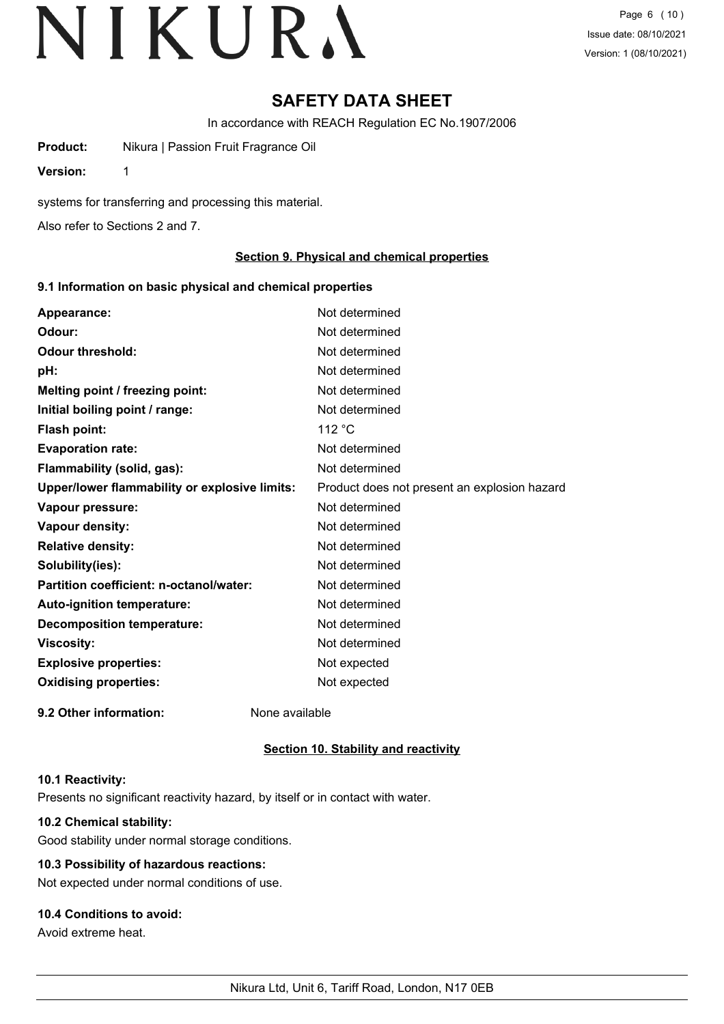### **SAFETY DATA SHEET**

In accordance with REACH Regulation EC No.1907/2006

**Product:** Nikura | Passion Fruit Fragrance Oil

**Version:** 1

systems for transferring and processing this material.

Also refer to Sections 2 and 7.

#### **Section 9. Physical and chemical properties**

#### **9.1 Information on basic physical and chemical properties**

| Appearance:                                   | Not determined                               |
|-----------------------------------------------|----------------------------------------------|
| Odour:                                        | Not determined                               |
| <b>Odour threshold:</b>                       | Not determined                               |
| pH:                                           | Not determined                               |
| Melting point / freezing point:               | Not determined                               |
| Initial boiling point / range:                | Not determined                               |
| <b>Flash point:</b>                           | 112 $\degree$ C                              |
| <b>Evaporation rate:</b>                      | Not determined                               |
| Flammability (solid, gas):                    | Not determined                               |
| Upper/lower flammability or explosive limits: | Product does not present an explosion hazard |
| Vapour pressure:                              | Not determined                               |
| Vapour density:                               | Not determined                               |
| <b>Relative density:</b>                      | Not determined                               |
| Solubility(ies):                              | Not determined                               |
| Partition coefficient: n-octanol/water:       | Not determined                               |
| Auto-ignition temperature:                    | Not determined                               |
| <b>Decomposition temperature:</b>             | Not determined                               |
| <b>Viscosity:</b>                             | Not determined                               |
| <b>Explosive properties:</b>                  | Not expected                                 |
| <b>Oxidising properties:</b>                  | Not expected                                 |
| 9.2 Other information:                        | None available                               |

#### **Section 10. Stability and reactivity**

#### **10.1 Reactivity:**

Presents no significant reactivity hazard, by itself or in contact with water.

#### **10.2 Chemical stability:**

Good stability under normal storage conditions.

### **10.3 Possibility of hazardous reactions:**

Not expected under normal conditions of use.

### **10.4 Conditions to avoid:**

Avoid extreme heat.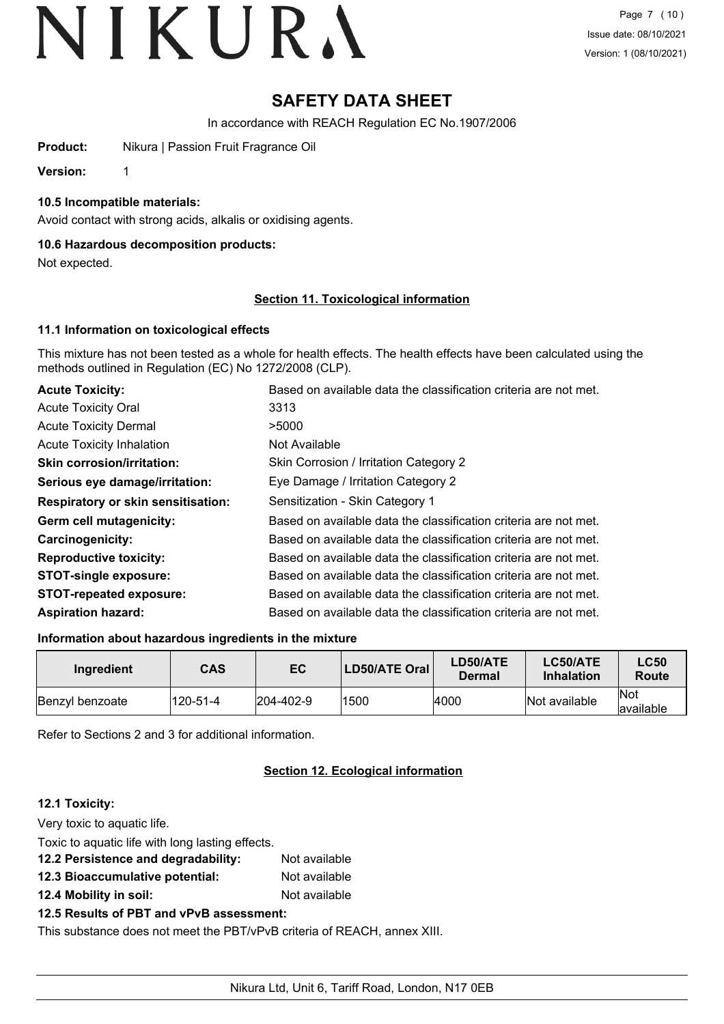### **SAFETY DATA SHEET**

In accordance with REACH Regulation EC No.1907/2006

**Product:** Nikura | Passion Fruit Fragrance Oil

**Version:** 1

#### **10.5 Incompatible materials:**

Avoid contact with strong acids, alkalis or oxidising agents.

#### **10.6 Hazardous decomposition products:**

Not expected.

#### **Section 11. Toxicological information**

#### **11.1 Information on toxicological effects**

This mixture has not been tested as a whole for health effects. The health effects have been calculated using the methods outlined in Regulation (EC) No 1272/2008 (CLP).

| <b>Acute Toxicity:</b>                    | Based on available data the classification criteria are not met. |
|-------------------------------------------|------------------------------------------------------------------|
| <b>Acute Toxicity Oral</b>                | 3313                                                             |
| <b>Acute Toxicity Dermal</b>              | >5000                                                            |
| <b>Acute Toxicity Inhalation</b>          | Not Available                                                    |
| <b>Skin corrosion/irritation:</b>         | Skin Corrosion / Irritation Category 2                           |
| Serious eye damage/irritation:            | Eye Damage / Irritation Category 2                               |
| <b>Respiratory or skin sensitisation:</b> | Sensitization - Skin Category 1                                  |
| Germ cell mutagenicity:                   | Based on available data the classification criteria are not met. |
| <b>Carcinogenicity:</b>                   | Based on available data the classification criteria are not met. |
| <b>Reproductive toxicity:</b>             | Based on available data the classification criteria are not met. |
| <b>STOT-single exposure:</b>              | Based on available data the classification criteria are not met. |
| <b>STOT-repeated exposure:</b>            | Based on available data the classification criteria are not met. |
| <b>Aspiration hazard:</b>                 | Based on available data the classification criteria are not met. |

#### **Information about hazardous ingredients in the mixture**

| Ingredient      | <b>CAS</b> | EC               | LD50/ATE Oral | <b>LD50/ATE</b><br>Dermal | LC50/ATE<br><b>Inhalation</b> | <b>LC50</b><br>Route     |
|-----------------|------------|------------------|---------------|---------------------------|-------------------------------|--------------------------|
| Benzyl benzoate | 120-51-4   | $ 204 - 402 - 9$ | 1500          | 4000                      | Not available                 | <b>Not</b><br>lavailable |

Refer to Sections 2 and 3 for additional information.

#### **Section 12. Ecological information**

#### **12.1 Toxicity:**

| Very toxic to aquatic life.                                              |               |
|--------------------------------------------------------------------------|---------------|
| Toxic to aquatic life with long lasting effects.                         |               |
| 12.2 Persistence and degradability:                                      | Not available |
| 12.3 Bioaccumulative potential:                                          | Not available |
| 12.4 Mobility in soil:                                                   | Not available |
| 12.5 Results of PBT and vPvB assessment:                                 |               |
| This substance does not meet the PBT/vPvB criteria of REACH, annex XIII. |               |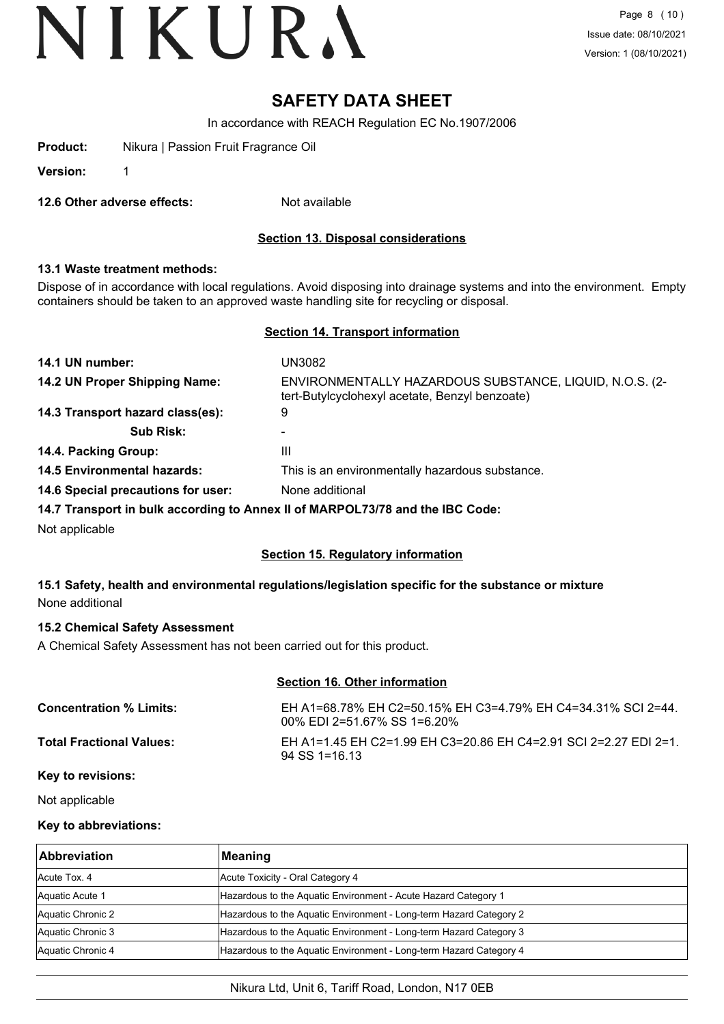### **SAFETY DATA SHEET**

In accordance with REACH Regulation EC No.1907/2006

| Product: |  | Nikura   Passion Fruit Fragrance Oil |  |
|----------|--|--------------------------------------|--|
|          |  |                                      |  |

**Version:** 1

**12.6 Other adverse effects:** Not available

#### **Section 13. Disposal considerations**

#### **13.1 Waste treatment methods:**

Dispose of in accordance with local regulations. Avoid disposing into drainage systems and into the environment. Empty containers should be taken to an approved waste handling site for recycling or disposal.

#### **Section 14. Transport information**

| 14.1 UN number:                    | UN3082                                                                                                    |
|------------------------------------|-----------------------------------------------------------------------------------------------------------|
| 14.2 UN Proper Shipping Name:      | ENVIRONMENTALLY HAZARDOUS SUBSTANCE, LIQUID, N.O.S. (2-<br>tert-Butylcyclohexyl acetate, Benzyl benzoate) |
| 14.3 Transport hazard class(es):   | 9                                                                                                         |
| <b>Sub Risk:</b>                   |                                                                                                           |
| 14.4. Packing Group:               | Ш                                                                                                         |
| <b>14.5 Environmental hazards:</b> | This is an environmentally hazardous substance.                                                           |
| 14.6 Special precautions for user: | None additional                                                                                           |
|                                    | 14.7 Transport in bulk according to Annex II of MARPOL73/78 and the IBC Code:                             |
| Not applicable                     |                                                                                                           |

#### **Section 15. Regulatory information**

#### **15.1 Safety, health and environmental regulations/legislation specific for the substance or mixture** None additional

#### **15.2 Chemical Safety Assessment**

A Chemical Safety Assessment has not been carried out for this product.

| <b>Section 16. Other information</b> |                                                                                             |  |
|--------------------------------------|---------------------------------------------------------------------------------------------|--|
| <b>Concentration % Limits:</b>       | EH A1=68.78% EH C2=50.15% EH C3=4.79% EH C4=34.31% SCI 2=44.<br>00% EDI 2=51.67% SS 1=6.20% |  |
| <b>Total Fractional Values:</b>      | EH A1=1.45 EH C2=1.99 EH C3=20.86 EH C4=2.91 SCI 2=2.27 EDI 2=1.<br>$94$ SS 1=16.13         |  |
| Key to revisions:                    |                                                                                             |  |

#### Not applicable

#### **Key to abbreviations:**

| <b>Abbreviation</b> | Meaning                                                            |
|---------------------|--------------------------------------------------------------------|
| Acute Tox, 4        | Acute Toxicity - Oral Category 4                                   |
| Aquatic Acute 1     | Hazardous to the Aquatic Environment - Acute Hazard Category 1     |
| Aquatic Chronic 2   | Hazardous to the Aquatic Environment - Long-term Hazard Category 2 |
| Aquatic Chronic 3   | Hazardous to the Aquatic Environment - Long-term Hazard Category 3 |
| Aquatic Chronic 4   | Hazardous to the Aquatic Environment - Long-term Hazard Category 4 |

#### Nikura Ltd, Unit 6, Tariff Road, London, N17 0EB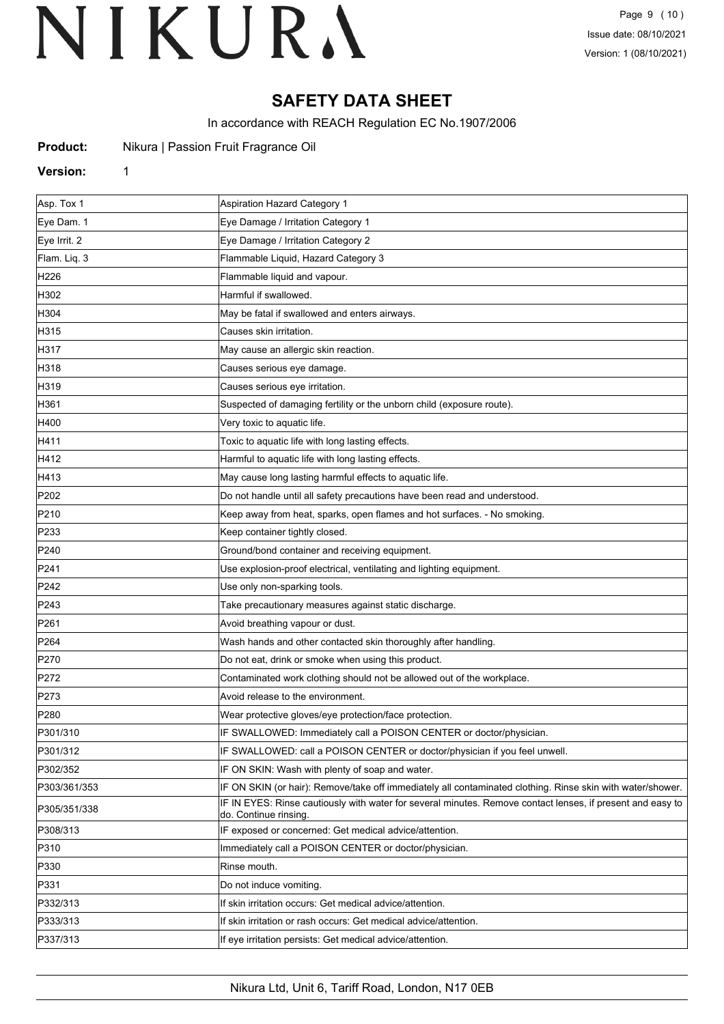### **SAFETY DATA SHEET**

In accordance with REACH Regulation EC No.1907/2006

| <b>Product:</b> |  | Nikura   Passion Fruit Fragrance Oil |  |
|-----------------|--|--------------------------------------|--|
|-----------------|--|--------------------------------------|--|

#### **Version:** 1

Asp. Tox 1 Aspiration Hazard Category 1 Eye Dam. 1 Eye Damage / Irritation Category 1 Eye Irrit. 2 Eye Damage / Irritation Category 2 Flam. Liq. 3 **Flammable Liquid, Hazard Category 3** H226 Flammable liquid and vapour. H302 Harmful if swallowed. H304 May be fatal if swallowed and enters airways. H315 Causes skin irritation. H317 May cause an allergic skin reaction. H318 Causes serious eye damage. H319 **Causes serious eye irritation.** H361 **Suspected of damaging fertility or the unborn child (exposure route)**. Suspected of damaging fertility or the unborn child (exposure route) H400 **Very toxic to aquatic life.** H411 **Has a struck in the Toxic to aquatic life with long lasting effects.** H412 **Harmful to aquatic life with long lasting effects.** H413 **May cause long lasting harmful effects to aquatic life.** P202 **Do not handle until all safety precautions have been read and understood.** P210 **Keep away from heat, sparks, open flames and hot surfaces.** - No smoking. P233 **Keep container tightly closed.** P240 **Container and receiving equipment.** Ground/bond container and receiving equipment. P241 Use explosion-proof electrical, ventilating and lighting equipment. P242 **Disember 19 Use only non-sparking tools.** P243 **Take precautionary measures against static discharge.** P261 **Avoid breathing vapour or dust.** Avoid breathing vapour or dust. P264 Wash hands and other contacted skin thoroughly after handling. P270 **Do not eat, drink or smoke when using this product.** P272 **Example 2018** Contaminated work clothing should not be allowed out of the workplace. P273 Avoid release to the environment. P280 Wear protective gloves/eye protection/face protection. P301/310 **IF SWALLOWED: Immediately call a POISON CENTER or doctor/physician.** P301/312 **IF SWALLOWED: call a POISON CENTER or doctor/physician if you feel unwell.** P302/352 IF ON SKIN: Wash with plenty of soap and water. P303/361/353 **IF ON SKIN (or hair): Remove/take off immediately all contaminated clothing. Rinse skin with water/shower.** P305/351/338 **IF IN EYES: Rinse cautiously with water for several minutes. Remove contact lenses, if present and easy to** do. Continue rinsing. P308/313 IF exposed or concerned: Get medical advice/attention. P310 **Immediately call a POISON CENTER or doctor/physician.** P330 Rinse mouth P331 **Do not induce vomiting.** P332/313 If skin irritation occurs: Get medical advice/attention. P333/313 If skin irritation or rash occurs: Get medical advice/attention. P337/313 If eye irritation persists: Get medical advice/attention.